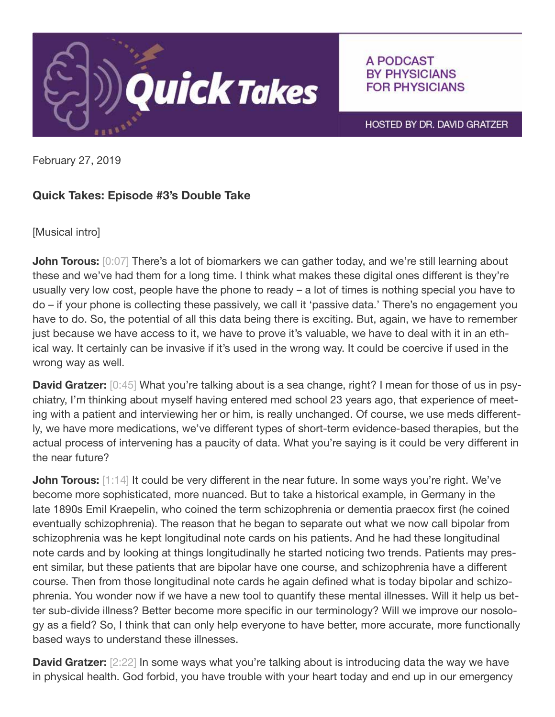

## A PODCAST **BY PHYSICIANS FOR PHYSICIANS**

HOSTED BY DR. DAVID GRATZER

February 27, 2019

## Quick Takes: Episode #3's Double Take

[Musical intro]

**John Torous:** [0:07] There's a lot of biomarkers we can gather today, and we're still learning about these and we've had them for a long time. I think what makes these digital ones different is they're usually very low cost, people have the phone to ready – a lot of times is nothing special you have to do – if your phone is collecting these passively, we call it 'passive data.' There's no engagement you have to do. So, the potential of all this data being there is exciting. But, again, we have to remember just because we have access to it, we have to prove it's valuable, we have to deal with it in an ethical way. It certainly can be invasive if it's used in the wrong way. It could be coercive if used in the wrong way as well.

**David Gratzer:** [0:45] What you're talking about is a sea change, right? I mean for those of us in psychiatry, I'm thinking about myself having entered med school 23 years ago, that experience of meeting with a patient and interviewing her or him, is really unchanged. Of course, we use meds differently, we have more medications, we've different types of short-term evidence-based therapies, but the actual process of intervening has a paucity of data. What you're saying is it could be very different in the near future?

**John Torous:** [1:14] It could be very different in the near future. In some ways you're right. We've become more sophisticated, more nuanced. But to take a historical example, in Germany in the late 1890s Emil Kraepelin, who coined the term schizophrenia or dementia praecox first (he coined eventually schizophrenia). The reason that he began to separate out what we now call bipolar from schizophrenia was he kept longitudinal note cards on his patients. And he had these longitudinal note cards and by looking at things longitudinally he started noticing two trends. Patients may present similar, but these patients that are bipolar have one course, and schizophrenia have a different course. Then from those longitudinal note cards he again defined what is today bipolar and schizophrenia. You wonder now if we have a new tool to quantify these mental illnesses. Will it help us better sub-divide illness? Better become more specific in our terminology? Will we improve our nosology as a field? So, I think that can only help everyone to have better, more accurate, more functionally based ways to understand these illnesses.

**David Gratzer:** [2:22] In some ways what you're talking about is introducing data the way we have in physical health. God forbid, you have trouble with your heart today and end up in our emergency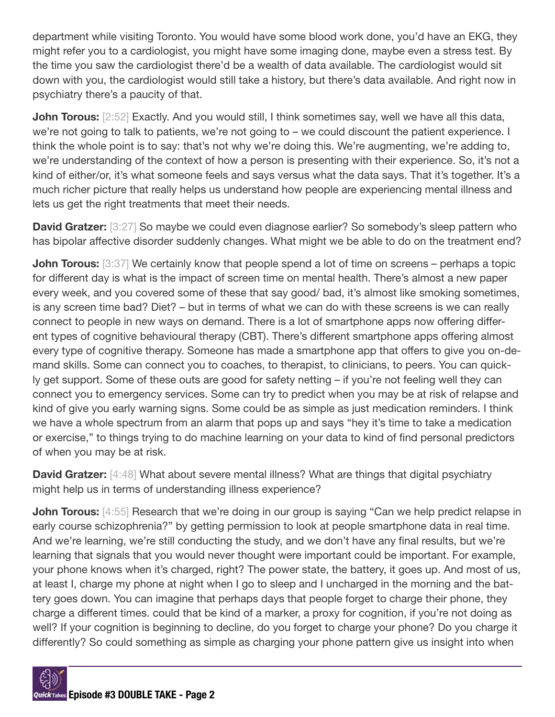department while visiting Toronto. You would have some blood work done, you'd have an EKG, they might refer you to a cardiologist, you might have some imaging done, maybe even a stress test. By the time you saw the cardiologist there'd be a wealth of data available. The cardiologist would sit down with you, the cardiologist would still take a history, but there's data available. And right now in psychiatry there's a paucity of that.

**John Torous:** [2:52] Exactly. And you would still, I think sometimes say, well we have all this data, we're not going to talk to patients, we're not going to – we could discount the patient experience. I think the whole point is to say: that's not why we're doing this. We're augmenting, we're adding to, we're understanding of the context of how a person is presenting with their experience. So, it's not a kind of either/or, it's what someone feels and says versus what the data says. That it's together. It's a much richer picture that really helps us understand how people are experiencing mental illness and lets us get the right treatments that meet their needs.

**David Gratzer:** [3:27] So maybe we could even diagnose earlier? So somebody's sleep pattern who has bipolar affective disorder suddenly changes. What might we be able to do on the treatment end?

**John Torous:** [3:37] We certainly know that people spend a lot of time on screens – perhaps a topic for different day is what is the impact of screen time on mental health. There's almost a new paper every week, and you covered some of these that say good/ bad, it's almost like smoking sometimes, is any screen time bad? Diet? – but in terms of what we can do with these screens is we can really connect to people in new ways on demand. There is a lot of smartphone apps now offering different types of cognitive behavioural therapy (CBT). There's different smartphone apps offering almost every type of cognitive therapy. Someone has made a smartphone app that offers to give you on-demand skills. Some can connect you to coaches, to therapist, to clinicians, to peers. You can quickly get support. Some of these outs are good for safety netting – if you're not feeling well they can connect you to emergency services. Some can try to predict when you may be at risk of relapse and kind of give you early warning signs. Some could be as simple as just medication reminders. I think we have a whole spectrum from an alarm that pops up and says "hey it's time to take a medication or exercise," to things trying to do machine learning on your data to kind of find personal predictors of when you may be at risk.

**David Gratzer:** [4:48] What about severe mental illness? What are things that digital psychiatry might help us in terms of understanding illness experience?

**John Torous:** [4:55] Research that we're doing in our group is saying "Can we help predict relapse in early course schizophrenia?" by getting permission to look at people smartphone data in real time. And we're learning, we're still conducting the study, and we don't have any final results, but we're learning that signals that you would never thought were important could be important. For example, your phone knows when it's charged, right? The power state, the battery, it goes up. And most of us, at least I, charge my phone at night when I go to sleep and I uncharged in the morning and the battery goes down. You can imagine that perhaps days that people forget to charge their phone, they charge a different times. could that be kind of a marker, a proxy for cognition, if you're not doing as well? If your cognition is beginning to decline, do you forget to charge your phone? Do you charge it differently? So could something as simple as charging your phone pattern give us insight into when